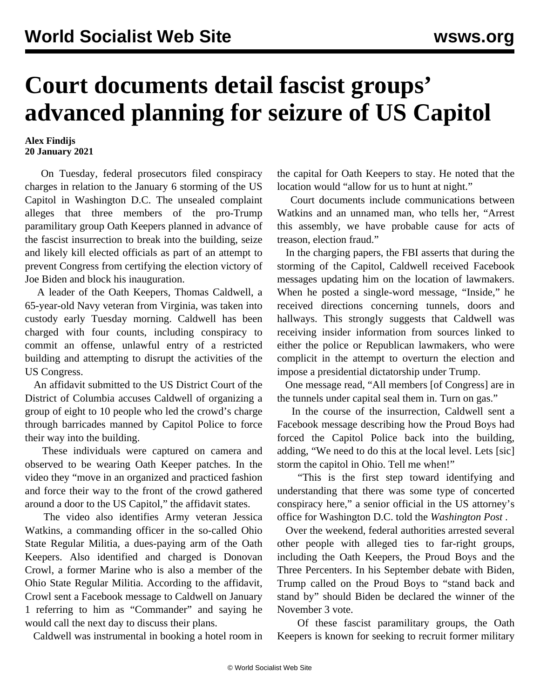## **Court documents detail fascist groups' advanced planning for seizure of US Capitol**

## **Alex Findijs 20 January 2021**

 On Tuesday, federal prosecutors filed conspiracy charges in relation to the January 6 storming of the US Capitol in Washington D.C. The unsealed complaint alleges that three members of the pro-Trump paramilitary group Oath Keepers planned in advance of the fascist insurrection to break into the building, seize and likely kill elected officials as part of an attempt to prevent Congress from certifying the election victory of Joe Biden and block his inauguration.

 A leader of the Oath Keepers, Thomas Caldwell, a 65-year-old Navy veteran from Virginia, was taken into custody early Tuesday morning. Caldwell has been charged with four counts, including conspiracy to commit an offense, unlawful entry of a restricted building and attempting to disrupt the activities of the US Congress.

 An affidavit submitted to the US District Court of the District of Columbia accuses Caldwell of organizing a group of eight to 10 people who led the crowd's charge through barricades manned by Capitol Police to force their way into the building.

 These individuals were captured on camera and observed to be wearing Oath Keeper patches. In the video they "move in an organized and practiced fashion and force their way to the front of the crowd gathered around a door to the US Capitol," the affidavit states.

 The video also identifies Army veteran Jessica Watkins, a commanding officer in the so-called Ohio State Regular Militia, a dues-paying arm of the Oath Keepers. Also identified and charged is Donovan Crowl, a former Marine who is also a member of the Ohio State Regular Militia. According to the affidavit, Crowl sent a Facebook message to Caldwell on January 1 referring to him as "Commander" and saying he would call the next day to discuss their plans.

Caldwell was instrumental in booking a hotel room in

the capital for Oath Keepers to stay. He noted that the location would "allow for us to hunt at night."

 Court documents include communications between Watkins and an unnamed man, who tells her, "Arrest this assembly, we have probable cause for acts of treason, election fraud."

 In the charging papers, the FBI asserts that during the storming of the Capitol, Caldwell received Facebook messages updating him on the location of lawmakers. When he posted a single-word message, "Inside," he received directions concerning tunnels, doors and hallways. This strongly suggests that Caldwell was receiving insider information from sources linked to either the police or Republican lawmakers, who were complicit in the attempt to overturn the election and impose a presidential dictatorship under Trump.

 One message read, "All members [of Congress] are in the tunnels under capital seal them in. Turn on gas."

 In the course of the insurrection, Caldwell sent a Facebook message describing how the Proud Boys had forced the Capitol Police back into the building, adding, "We need to do this at the local level. Lets [sic] storm the capitol in Ohio. Tell me when!"

 "This is the first step toward identifying and understanding that there was some type of concerted conspiracy here," a senior official in the US attorney's office for Washington D.C. told the *Washington Post* .

 Over the weekend, federal authorities arrested several other people with alleged ties to far-right groups, including the Oath Keepers, the Proud Boys and the Three Percenters. In his September debate with Biden, Trump called on the Proud Boys to "stand back and stand by" should Biden be declared the winner of the November 3 vote.

 Of these fascist paramilitary groups, the Oath Keepers is known for seeking to recruit former military